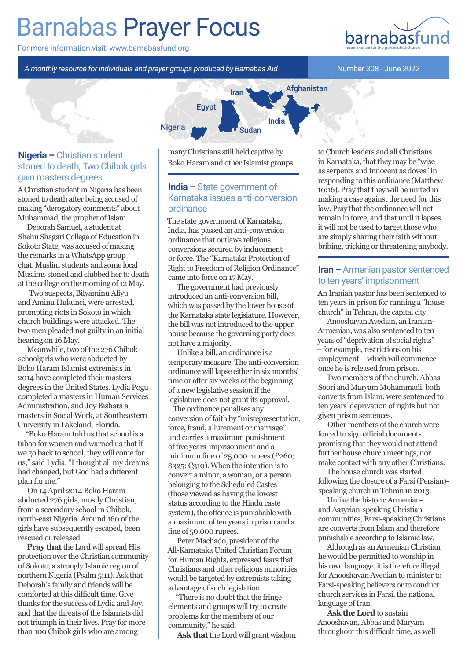# Barnabas Prayer Focus

For more information visit: www.barnabasfund.org

*A monthly resource for individuals and prayer groups produced by Barnabas Aid*

Number 308 - June 2022



### **Nigeria –** Christian student stoned to death; Two Chibok girls gain masters degrees

A Christian student in Nigeria has been stoned to death after being accused of making "derogatory comments" about Muhammad, the prophet of Islam.

Deborah Samuel, a student at Shehu Shagari College of Education in Sokoto State, was accused of making the remarks in a WhatsApp group chat. Muslim students and some local Muslims stoned and clubbed her to death at the college on the morning of 12 May.

 Two suspects, Bilyaminu Aliyu and Aminu Hukunci, were arrested, prompting riots in Sokoto in which church buildings were attacked. The two men pleaded not guilty in an initial hearing on 16 May.

Meanwhile, two of the 276 Chibok schoolgirls who were abducted by Boko Haram Islamist extremists in 2014 have completed their masters degrees in the United States. Lydia Pogu completed a masters in Human Services Administration, and Joy Bishara a masters in Social Work, at Southeastern University in Lakeland, Florida.

"Boko Haram told us that school is a taboo for women and warned us that if we go back to school, they will come for us," said Lydia. "I thought all my dreams had changed, but God had a different plan for me."

On 14 April 2014 Boko Haram abducted 276 girls, mostly Christian, from a secondary school in Chibok, north-east Nigeria. Around 160 of the girls have subsequently escaped, been rescued or released.

**Pray that** the Lord will spread His protection over the Christian community of Sokoto, a strongly Islamic region of northern Nigeria (Psalm 5:11). Ask that Deborah's family and friends will be comforted at this difficult time. Give thanks for the success of Lydia and Joy, and that the threats of the Islamists did not triumph in their lives. Pray for more than 100 Chibok girls who are among

many Christians still held captive by Boko Haram and other Islamist groups.

## **India –** State government of Karnataka issues anti-conversion ordinance

The state government of Karnataka, India, has passed an anti-conversion ordinance that outlaws religious conversions secured by inducement or force. The "Karnataka Protection of Right to Freedom of Religion Ordinance" came into force on 17 May.

The government had previously introduced an anti-conversion bill, which was passed by the lower house of the Karnataka state legislature. However, the bill was not introduced to the upper house because the governing party does not have a majority.

Unlike a bill, an ordinance is a temporary measure. The anti-conversion ordinance will lapse either in six months' time or after six weeks of the beginning of a new legislative session if the legislature does not grant its approval.

 The ordinance penalises any conversion of faith by "misrepresentation, force, fraud, allurement or marriage" and carries a maximum punishment of five years' imprisonment and a minimum fine of 25,000 rupees (£260;  $\$325;$  $\$310$ ). When the intention is to convert a minor, a woman, or a person belonging to the Scheduled Castes (those viewed as having the lowest status according to the Hindu caste system), the offence is punishable with a maximum of ten years in prison and a fine of 50,000 rupees.

Peter Machado, president of the All-Karnataka United Christian Forum for Human Rights, expressed fears that Christians and other religious minorities would be targeted by extremists taking advantage of such legislation.

"There is no doubt that the fringe elements and groups will try to create problems for the members of our community," he said.

**Ask that** the Lord will grant wisdom

to Church leaders and all Christians in Karnataka, that they may be "wise as serpents and innocent as doves" in responding to this ordinance (Matthew 10:16). Pray that they will be united in making a case against the need for this law. Pray that the ordinance will not remain in force, and that until it lapses it will not be used to target those who are simply sharing their faith without bribing, tricking or threatening anybody.

## **Iran –** Armenian pastor sentenced to ten years' imprisonment

An Iranian pastor has been sentenced to ten years in prison for running a "house church" in Tehran, the capital city.

Anooshavan Avedian, an Iranian-Armenian, was also sentenced to ten years of "deprivation of social rights" – for example, restrictions on his employment – which will commence once he is released from prison.

Two members of the church, Abbas Soori and Maryam Mohammadi, both converts from Islam, were sentenced to ten years' deprivation of rights but not given prison sentences.

Other members of the church were forced to sign official documents promising that they would not attend further house church meetings, nor make contact with any other Christians.

The house church was started following the closure of a Farsi (Persian) speaking church in Tehran in 2013.

Unlike the historic Armenianand Assyrian-speaking Christian communities, Farsi-speaking Christians are converts from Islam and therefore punishable according to Islamic law.

Although as an Armenian Christian he would be permitted to worship in his own language, it is therefore illegal for Anooshavan Avedian to minister to Farsi-speaking believers or to conduct church services in Farsi, the national language of Iran.

**Ask the Lord** to sustain Anooshavan, Abbas and Maryam throughout this difficult time, as well